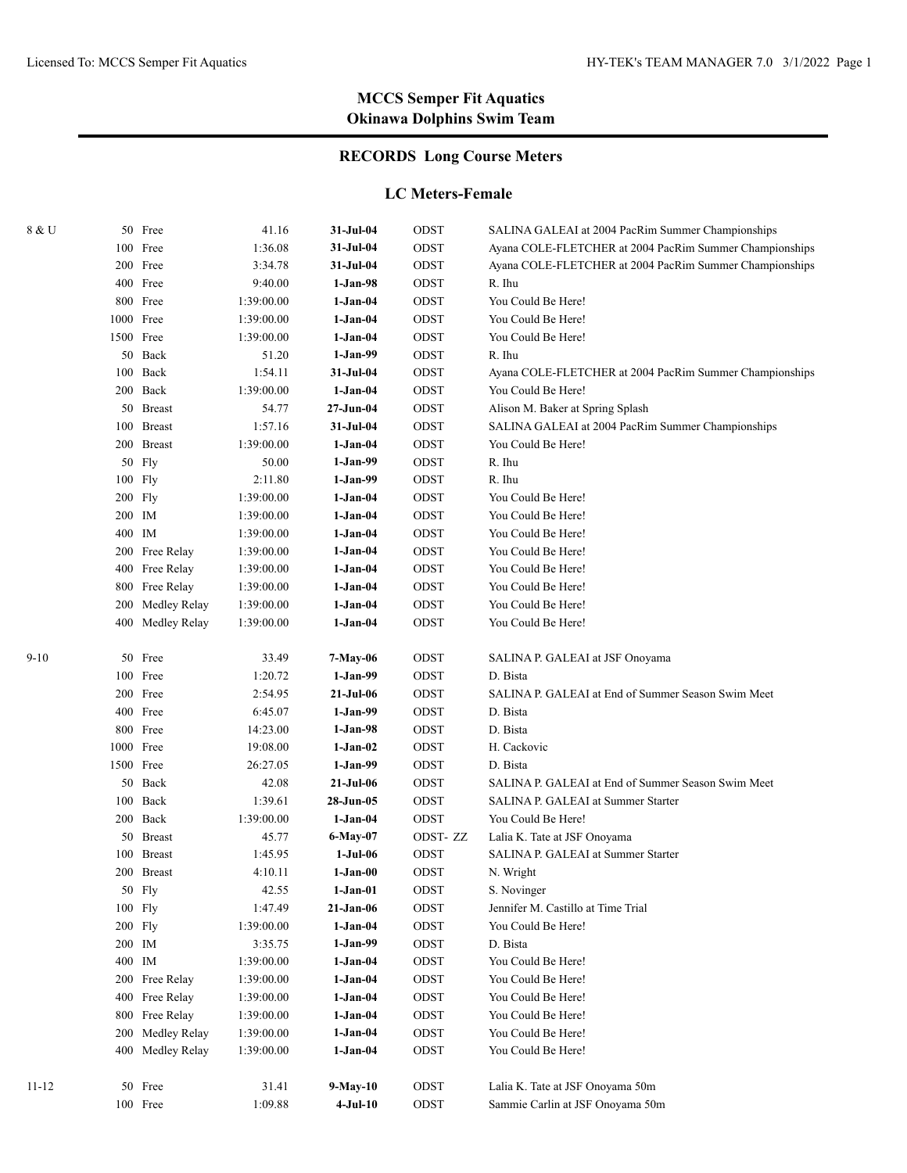## **RECORDS Long Course Meters**

#### **LC Meters-Female**

| 8 & U |           | 50 Free          | 41.16      | 31-Jul-04  | ODST        | SALINA GALEAI at 2004 PacRim Summer Championships       |
|-------|-----------|------------------|------------|------------|-------------|---------------------------------------------------------|
|       |           | 100 Free         | 1:36.08    | 31-Jul-04  | ODST        | Ayana COLE-FLETCHER at 2004 PacRim Summer Championships |
|       |           | 200 Free         | 3:34.78    | 31-Jul-04  | ODST        | Ayana COLE-FLETCHER at 2004 PacRim Summer Championships |
|       |           | 400 Free         | 9:40.00    | $1-Jan-98$ | ODST        | R. Ihu                                                  |
|       |           | 800 Free         | 1:39:00.00 | $1-Jan-04$ | ODST        | You Could Be Here!                                      |
|       | 1000 Free |                  | 1:39:00.00 | $1-Jan-04$ | ODST        | You Could Be Here!                                      |
|       | 1500 Free |                  | 1:39:00.00 | $1-Jan-04$ | ODST        | You Could Be Here!                                      |
|       |           | 50 Back          | 51.20      | $1-Jan-99$ | ODST        | R. Ihu                                                  |
|       | 100       | Back             | 1:54.11    | 31-Jul-04  | ODST        | Ayana COLE-FLETCHER at 2004 PacRim Summer Championships |
|       |           | 200 Back         | 1:39:00.00 | $1-Jan-04$ | ODST        | You Could Be Here!                                      |
|       |           | 50 Breast        | 54.77      | 27-Jun-04  | ODST        | Alison M. Baker at Spring Splash                        |
|       |           | 100 Breast       | 1:57.16    | 31-Jul-04  | ODST        | SALINA GALEAI at 2004 PacRim Summer Championships       |
|       |           | 200 Breast       | 1:39:00.00 | $1-Jan-04$ | ODST        | You Could Be Here!                                      |
|       | 50        | Fly              | 50.00      | 1-Jan-99   | ODST        | R. Ihu                                                  |
|       | 100 Fly   |                  | 2:11.80    | 1-Jan-99   | ODST        | R. Ihu                                                  |
|       | $200$ Fly |                  | 1:39:00.00 | 1-Jan-04   | ODST        | You Could Be Here!                                      |
|       | 200 IM    |                  | 1:39:00.00 | 1-Jan-04   | ODST        | You Could Be Here!                                      |
|       | 400 IM    |                  | 1:39:00.00 | 1-Jan-04   | ODST        | You Could Be Here!                                      |
|       |           | 200 Free Relay   | 1:39:00.00 | $1-Jan-04$ | ODST        | You Could Be Here!                                      |
|       |           | 400 Free Relay   | 1:39:00.00 | 1-Jan-04   | ODST        | You Could Be Here!                                      |
|       |           | 800 Free Relay   | 1:39:00.00 | 1-Jan-04   | ODST        | You Could Be Here!                                      |
|       | 200       | Medley Relay     | 1:39:00.00 | 1-Jan-04   | ODST        | You Could Be Here!                                      |
|       |           | 400 Medley Relay | 1:39:00.00 | 1-Jan-04   | ODST        | You Could Be Here!                                      |
| 9-10  |           | 50 Free          | 33.49      | 7-May-06   | ODST        | SALINA P. GALEAI at JSF Onoyama                         |
|       |           | 100 Free         | 1:20.72    | $1-Jan-99$ | ODST        | D. Bista                                                |
|       |           | 200 Free         | 2:54.95    | 21-Jul-06  | ODST        | SALINA P. GALEAI at End of Summer Season Swim Meet      |
|       |           | 400 Free         | 6:45.07    | $1-Jan-99$ | ODST        | D. Bista                                                |
|       |           | 800 Free         | 14:23.00   | 1-Jan-98   | ODST        | D. Bista                                                |
|       | 1000 Free |                  | 19:08.00   | $1-Jan-02$ | ODST        | H. Cackovic                                             |
|       | 1500 Free |                  | 26:27.05   | $1-Jan-99$ | ODST        | D. Bista                                                |
|       |           | 50 Back          | 42.08      | 21-Jul-06  | ODST        | SALINA P. GALEAI at End of Summer Season Swim Meet      |
|       |           | 100 Back         | 1:39.61    | 28-Jun-05  | ODST        | SALINA P. GALEAI at Summer Starter                      |
|       |           | 200 Back         | 1:39:00.00 | $1-Jan-04$ | ODST        | You Could Be Here!                                      |
|       |           | 50 Breast        | 45.77      | $6-May-07$ | ODST-ZZ     | Lalia K. Tate at JSF Onoyama                            |
|       |           | 100 Breast       | 1:45.95    | $1-Jul-06$ | ODST        | SALINA P. GALEAI at Summer Starter                      |
|       |           | 200 Breast       | 4:10.11    | $1-Jan-00$ | ODST        | N. Wright                                               |
|       |           | 50 Fly           | 42.55      | $1-Jan-01$ | ODST        | S. Novinger                                             |
|       |           | 100 Fly          | 1:47.49    | 21-Jan-06  | ODST        | Jennifer M. Castillo at Time Trial                      |
|       |           | 200 Fly          | 1:39:00.00 | $1-Jan-04$ | ODST        | You Could Be Here!                                      |
|       | 200 IM    |                  | 3:35.75    | $1-Jan-99$ | ODST        | D. Bista                                                |
|       | 400 IM    |                  | 1:39:00.00 | 1-Jan-04   | ODST        | You Could Be Here!                                      |
|       |           | 200 Free Relay   | 1:39:00.00 | 1-Jan-04   | ODST        | You Could Be Here!                                      |
|       |           | 400 Free Relay   | 1:39:00.00 | $1-Jan-04$ | ODST        | You Could Be Here!                                      |
|       |           | 800 Free Relay   | 1:39:00.00 |            | ODST        | You Could Be Here!                                      |
|       |           |                  |            | 1-Jan-04   |             | You Could Be Here!                                      |
|       | 200       | Medley Relay     | 1:39:00.00 | 1-Jan-04   | ODST        | You Could Be Here!                                      |
|       |           | 400 Medley Relay | 1:39:00.00 | 1-Jan-04   | ODST        |                                                         |
| 11-12 |           | 50 Free          | 31.41      | 9-May-10   | $\rm{ODST}$ | Lalia K. Tate at JSF Onoyama 50m                        |
|       |           | 100 Free         | 1:09.88    | $4-Jul-10$ | ODST        | Sammie Carlin at JSF Onoyama 50m                        |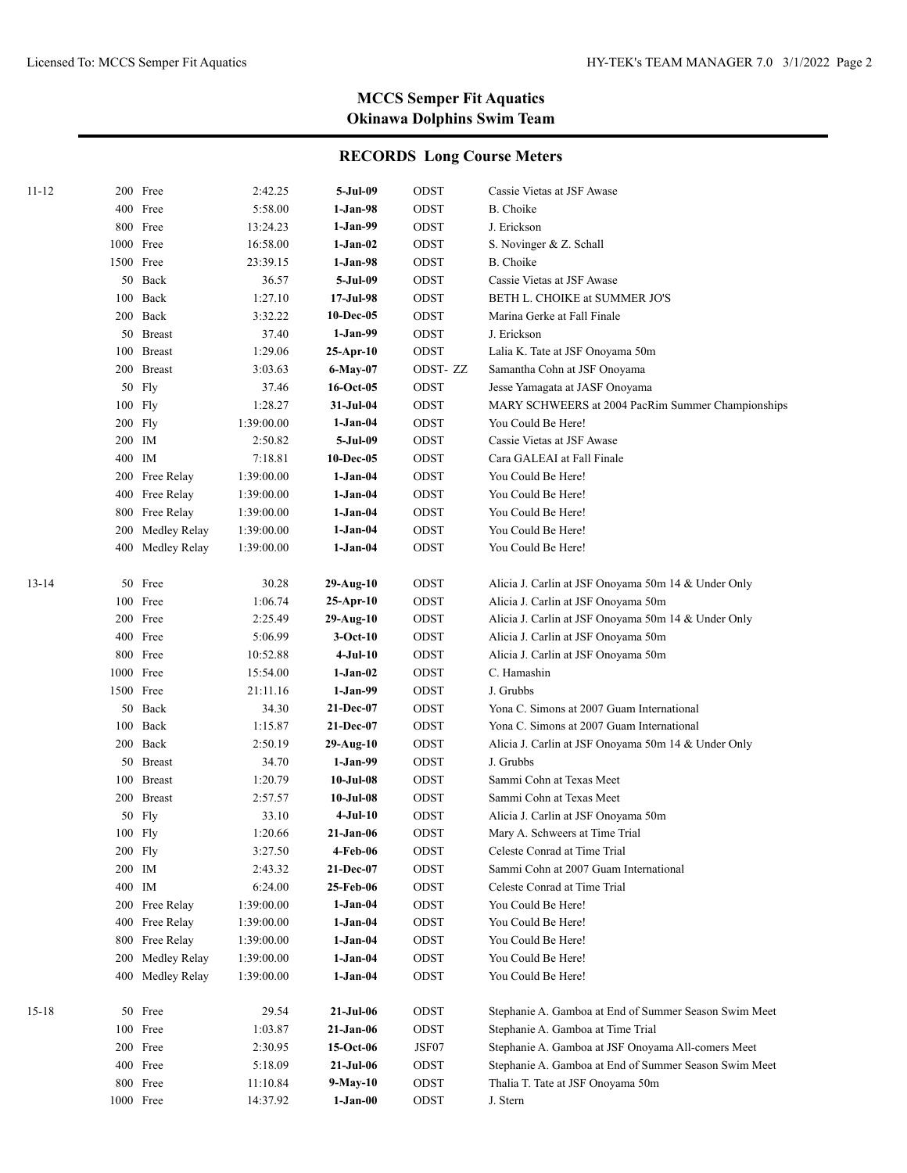| 11-12     |           | 200 Free         | 2:42.25    | 5-Jul-09        | ODST    | Cassie Vietas at JSF Awase                            |
|-----------|-----------|------------------|------------|-----------------|---------|-------------------------------------------------------|
|           |           | 400 Free         | 5:58.00    | 1-Jan-98        | ODST    | B. Choike                                             |
|           |           | 800 Free         | 13:24.23   | 1-Jan-99        | ODST    | J. Erickson                                           |
|           | 1000 Free |                  | 16:58.00   | 1-Jan-02        | ODST    | S. Novinger & Z. Schall                               |
|           | 1500 Free |                  | 23:39.15   | $1-Jan-98$      | ODST    | B. Choike                                             |
|           |           | 50 Back          | 36.57      | 5-Jul-09        | ODST    | Cassie Vietas at JSF Awase                            |
|           |           | 100 Back         | 1:27.10    | 17-Jul-98       | ODST    | BETH L. CHOIKE at SUMMER JO'S                         |
|           |           | 200 Back         | 3:32.22    | 10-Dec-05       | ODST    | Marina Gerke at Fall Finale                           |
|           |           | 50 Breast        | 37.40      | $1-Jan-99$      | ODST    | J. Erickson                                           |
|           |           | 100 Breast       | 1:29.06    | $25-Apr-10$     | ODST    | Lalia K. Tate at JSF Onoyama 50m                      |
|           |           | 200 Breast       | 3:03.63    | 6-May-07        | ODST-ZZ | Samantha Cohn at JSF Onoyama                          |
|           |           | 50 Fly           | 37.46      | 16-Oct-05       | ODST    | Jesse Yamagata at JASF Onoyama                        |
|           |           | 100 Fly          | 1:28.27    | 31-Jul-04       | ODST    | MARY SCHWEERS at 2004 PacRim Summer Championships     |
|           |           | $200$ Fly        | 1:39:00.00 | 1-Jan-04        | ODST    | You Could Be Here!                                    |
|           | 200 IM    |                  | 2:50.82    | 5-Jul-09        | ODST    | Cassie Vietas at JSF Awase                            |
|           | 400 IM    |                  | 7:18.81    | 10-Dec-05       | ODST    | Cara GALEAI at Fall Finale                            |
|           |           | 200 Free Relay   | 1:39:00.00 | 1-Jan-04        | ODST    | You Could Be Here!                                    |
|           |           | 400 Free Relay   | 1:39:00.00 | $1-Jan-04$      | ODST    | You Could Be Here!                                    |
|           |           | 800 Free Relay   | 1:39:00.00 | 1-Jan-04        | ODST    | You Could Be Here!                                    |
|           | 200       | Medley Relay     | 1:39:00.00 | 1-Jan-04        | ODST    | You Could Be Here!                                    |
|           |           | 400 Medley Relay | 1:39:00.00 | 1-Jan-04        | ODST    | You Could Be Here!                                    |
|           |           |                  |            |                 |         |                                                       |
| 13-14     |           | 50 Free          | 30.28      | 29-Aug-10       | ODST    | Alicia J. Carlin at JSF Onoyama 50m 14 & Under Only   |
|           |           | 100 Free         | 1:06.74    | $25-Apr-10$     | ODST    | Alicia J. Carlin at JSF Onoyama 50m                   |
|           |           | 200 Free         | 2:25.49    | 29-Aug-10       | ODST    | Alicia J. Carlin at JSF Onoyama 50m 14 & Under Only   |
|           |           | 400 Free         | 5:06.99    | $3-Oct-10$      | ODST    | Alicia J. Carlin at JSF Onoyama 50m                   |
|           |           | 800 Free         | 10:52.88   | 4-Jul-10        | ODST    | Alicia J. Carlin at JSF Onoyama 50m                   |
|           | 1000 Free |                  | 15:54.00   | 1-Jan-02        | ODST    | C. Hamashin                                           |
|           | 1500 Free |                  | 21:11.16   | 1-Jan-99        | ODST    | J. Grubbs                                             |
|           |           | 50 Back          | 34.30      | 21-Dec-07       | ODST    | Yona C. Simons at 2007 Guam International             |
|           |           | 100 Back         | 1:15.87    | 21-Dec-07       | ODST    | Yona C. Simons at 2007 Guam International             |
|           |           | 200 Back         | 2:50.19    | 29-Aug-10       | ODST    | Alicia J. Carlin at JSF Onoyama 50m 14 & Under Only   |
|           |           | 50 Breast        | 34.70      | $1-Jan-99$      | ODST    | J. Grubbs                                             |
|           |           | 100 Breast       | 1:20.79    | $10$ -Jul- $08$ | ODST    | Sammi Cohn at Texas Meet                              |
|           |           | 200 Breast       | 2:57.57    | $10$ -Jul- $08$ | ODST    | Sammi Cohn at Texas Meet                              |
|           |           | 50 Fly           | 33.10      | 4-Jul-10        | ODST    | Alicia J. Carlin at JSF Onoyama 50m                   |
|           |           | 100 Fly          | 1:20.66    | 21-Jan-06       | ODST    | Mary A. Schweers at Time Trial                        |
|           |           | 200 Fly          | 3:27.50    | 4-Feb-06        | ODST    | Celeste Conrad at Time Trial                          |
|           | 200 IM    |                  | 2:43.32    | 21-Dec-07       | ODST    | Sammi Cohn at 2007 Guam International                 |
|           | 400 IM    |                  | 6:24.00    | 25-Feb-06       | ODST    | Celeste Conrad at Time Trial                          |
|           |           | 200 Free Relay   | 1:39:00.00 | $1-Jan-04$      | ODST    | You Could Be Here!                                    |
|           | 400       | Free Relay       | 1:39:00.00 | $1-Jan-04$      | ODST    | You Could Be Here!                                    |
|           | 800       | Free Relay       | 1:39:00.00 | $1-Jan-04$      | ODST    | You Could Be Here!                                    |
|           | 200       | Medley Relay     | 1:39:00.00 | $1-Jan-04$      | ODST    | You Could Be Here!                                    |
|           |           | 400 Medley Relay | 1:39:00.00 | $1-Jan-04$      | ODST    | You Could Be Here!                                    |
|           |           |                  |            |                 |         |                                                       |
| $15 - 18$ |           | 50 Free          | 29.54      | $21-Jul-06$     | ODST    | Stephanie A. Gamboa at End of Summer Season Swim Meet |
|           |           | 100 Free         | 1:03.87    | $21-Jan-06$     | ODST    | Stephanie A. Gamboa at Time Trial                     |
|           |           | 200 Free         | 2:30.95    | 15-Oct-06       | JSF07   | Stephanie A. Gamboa at JSF Onoyama All-comers Meet    |
|           |           | 400 Free         | 5:18.09    | $21-Jul-06$     | ODST    | Stephanie A. Gamboa at End of Summer Season Swim Meet |
|           |           | 800 Free         | 11:10.84   | $9-May-10$      | ODST    | Thalia T. Tate at JSF Onoyama 50m                     |
|           |           | 1000 Free        | 14:37.92   | 1-Jan-00        | ODST    | J. Stern                                              |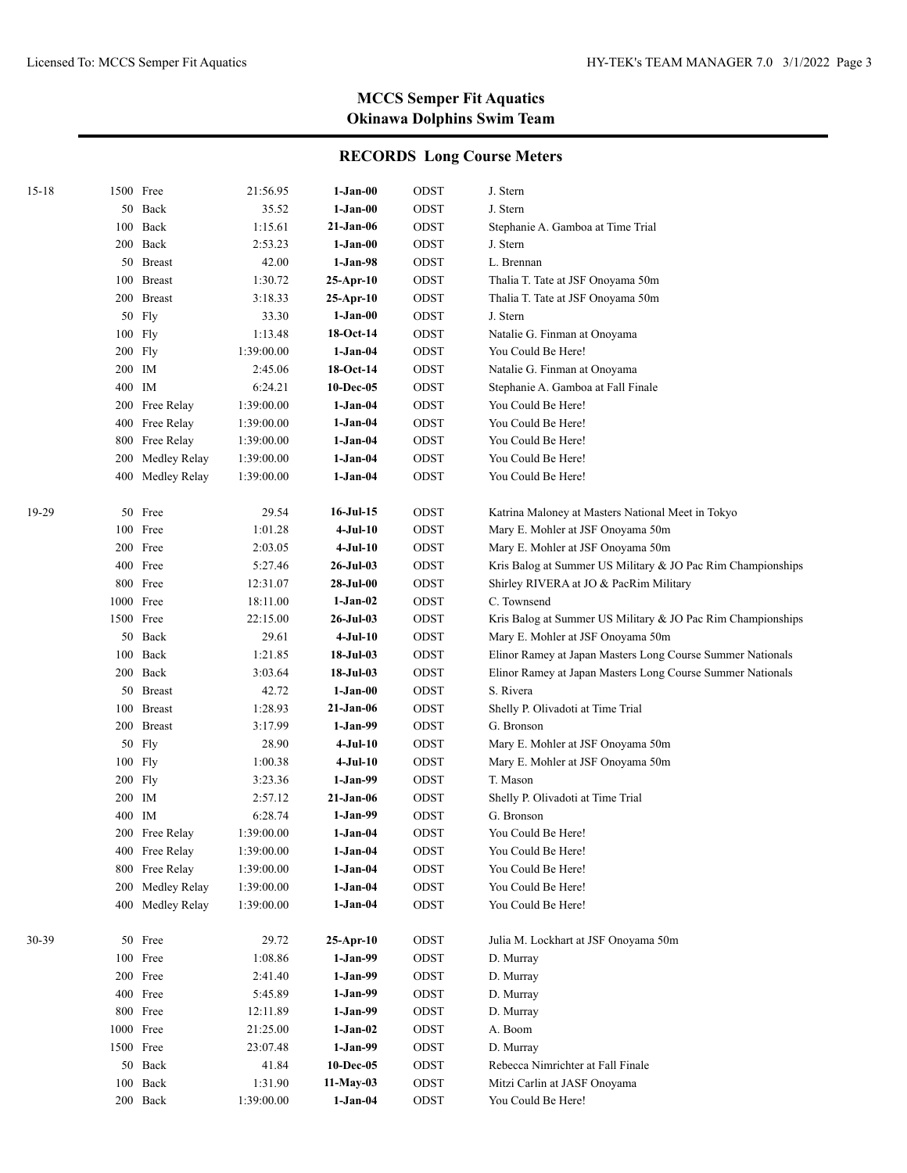| $15 - 18$ |     | 1500 Free      | 21:56.95   | $1-Jan-00$      | ODST        | J. Stern                                                    |
|-----------|-----|----------------|------------|-----------------|-------------|-------------------------------------------------------------|
|           |     | 50 Back        | 35.52      | $1-Jan-00$      | ODST        | J. Stern                                                    |
|           | 100 | Back           | 1:15.61    | 21-Jan-06       | ODST        | Stephanie A. Gamboa at Time Trial                           |
|           |     | 200 Back       | 2:53.23    | 1-Jan-00        | ODST        | J. Stern                                                    |
|           |     | 50 Breast      | 42.00      | $1-Jan-98$      | ODST        | L. Brennan                                                  |
|           |     | 100 Breast     | 1:30.72    | $25$ -Apr-10    | ODST        | Thalia T. Tate at JSF Onoyama 50m                           |
|           |     | 200 Breast     | 3:18.33    | $25$ -Apr-10    | ODST        | Thalia T. Tate at JSF Onoyama 50m                           |
|           |     | 50 Fly         | 33.30      | $1-Jan-00$      | ODST        | J. Stern                                                    |
|           |     | 100 Fly        | 1:13.48    | 18-Oct-14       | ODST        | Natalie G. Finman at Onoyama                                |
|           |     | $200$ Fly      | 1:39:00.00 | $1-Jan-04$      | ODST        | You Could Be Here!                                          |
|           |     | 200 IM         | 2:45.06    | 18-Oct-14       | ODST        | Natalie G. Finman at Onoyama                                |
|           |     | 400 IM         | 6:24.21    | 10-Dec-05       | ODST        | Stephanie A. Gamboa at Fall Finale                          |
|           |     | 200 Free Relay | 1:39:00.00 | 1-Jan-04        | ODST        | You Could Be Here!                                          |
|           |     | 400 Free Relay | 1:39:00.00 | $1-Jan-04$      | ODST        | You Could Be Here!                                          |
|           | 800 | Free Relay     | 1:39:00.00 | 1-Jan-04        | ODST        | You Could Be Here!                                          |
|           | 200 | Medley Relay   | 1:39:00.00 | 1-Jan-04        | ODST        | You Could Be Here!                                          |
|           | 400 | Medley Relay   | 1:39:00.00 | $1-Jan-04$      | ODST        | You Could Be Here!                                          |
| 19-29     |     | 50 Free        | 29.54      | $16$ -Jul- $15$ | ODST        | Katrina Maloney at Masters National Meet in Tokyo           |
|           |     | 100 Free       | 1:01.28    | $4-Jul-10$      | ODST        | Mary E. Mohler at JSF Onoyama 50m                           |
|           |     | 200 Free       | 2:03.05    | $4-Jul-10$      | ODST        | Mary E. Mohler at JSF Onoyama 50m                           |
|           |     | 400 Free       | 5:27.46    | 26-Jul-03       | ODST        | Kris Balog at Summer US Military & JO Pac Rim Championships |
|           |     | 800 Free       | 12:31.07   | $28-Jul-00$     | ODST        | Shirley RIVERA at JO & PacRim Military                      |
|           |     | 1000 Free      | 18:11.00   | $1-Jan-02$      | ODST        | C. Townsend                                                 |
|           |     | 1500 Free      | 22:15.00   | 26-Jul-03       | ODST        | Kris Balog at Summer US Military & JO Pac Rim Championships |
|           |     | 50 Back        | 29.61      | $4-Jul-10$      | ODST        | Mary E. Mohler at JSF Onoyama 50m                           |
|           |     | 100 Back       | 1:21.85    | 18-Jul-03       | ODST        | Elinor Ramey at Japan Masters Long Course Summer Nationals  |
|           |     | 200 Back       | 3:03.64    | 18-Jul-03       | ODST        | Elinor Ramey at Japan Masters Long Course Summer Nationals  |
|           |     | 50 Breast      | 42.72      | $1-Jan-00$      | ODST        | S. Rivera                                                   |
|           |     | 100 Breast     | 1:28.93    | 21-Jan-06       | ODST        | Shelly P. Olivadoti at Time Trial                           |
|           |     | 200 Breast     | 3:17.99    | $1-Jan-99$      | ODST        | G. Bronson                                                  |
|           |     | 50 Fly         | 28.90      | 4-Jul-10        | ODST        | Mary E. Mohler at JSF Onoyama 50m                           |
|           |     | 100 Fly        | 1:00.38    | $4-Jul-10$      | ODST        | Mary E. Mohler at JSF Onoyama 50m                           |
|           |     | 200 Fly        | 3:23.36    | 1-Jan-99        | ODST        | T. Mason                                                    |
|           |     | 200 IM         | 2:57.12    | 21-Jan-06       | ODST        | Shelly P. Olivadoti at Time Trial                           |
|           | 400 | IM             | 6:28.74    | $1-Jan-99$      | ODST        | G. Bronson                                                  |
|           |     | 200 Free Relay | 1:39:00.00 | 1-Jan-04        | ODST        | You Could Be Here!                                          |
|           |     | 400 Free Relay | 1:39:00.00 | $1-Jan-04$      | $\rm{ODST}$ | You Could Be Here!                                          |
|           | 800 | Free Relay     | 1:39:00.00 | $1-Jan-04$      | ODST        | You Could Be Here!                                          |
|           | 200 | Medley Relay   | 1:39:00.00 | $1-Jan-04$      | ODST        | You Could Be Here!                                          |
|           | 400 | Medley Relay   | 1:39:00.00 | $1-Jan-04$      | ODST        | You Could Be Here!                                          |
| 30-39     |     | 50 Free        | 29.72      | $25-Apr-10$     | ODST        | Julia M. Lockhart at JSF Onoyama 50m                        |
|           |     | 100 Free       | 1:08.86    | $1-Jan-99$      | ODST        | D. Murray                                                   |
|           |     | 200 Free       | 2:41.40    | $1-Jan-99$      | ODST        | D. Murray                                                   |
|           |     | 400 Free       | 5:45.89    | $1-Jan-99$      | ODST        | D. Murray                                                   |
|           |     | 800 Free       | 12:11.89   | $1-Jan-99$      | ODST        | D. Murray                                                   |
|           |     | 1000 Free      | 21:25.00   | $1-Jan-02$      | ODST        | A. Boom                                                     |
|           |     | 1500 Free      | 23:07.48   | $1-Jan-99$      | ODST        | D. Murray                                                   |
|           |     | 50 Back        | 41.84      | $10$ -Dec-05    | ODST        | Rebecca Nimrichter at Fall Finale                           |
|           | 100 | Back           | 1:31.90    | $11-May-03$     | ODST        | Mitzi Carlin at JASF Onoyama                                |
|           |     | 200 Back       | 1:39:00.00 | $1-Jan-04$      | ODST        | You Could Be Here!                                          |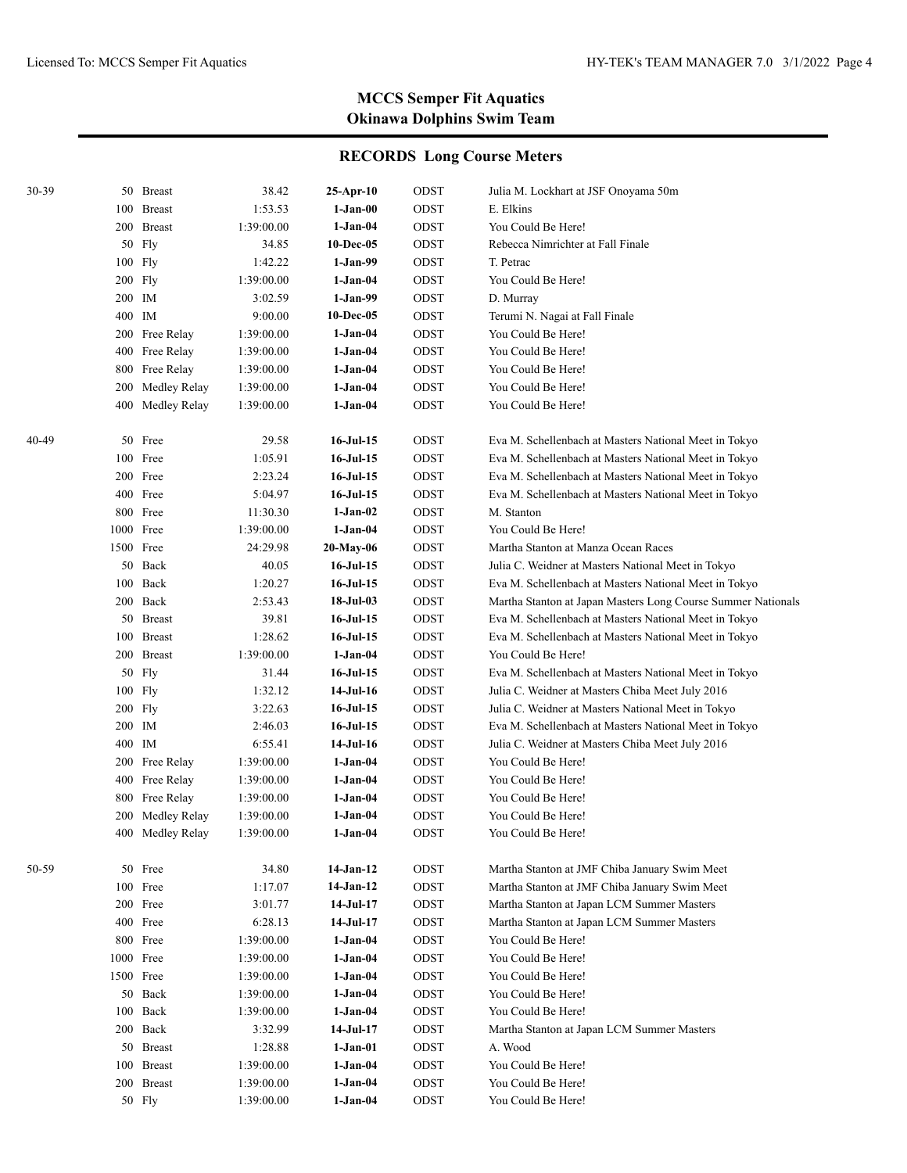| 30-39 |           | 50 Breast        | 38.42      | $25-Apr-10$     | ODST        | Julia M. Lockhart at JSF Onoyama 50m                         |
|-------|-----------|------------------|------------|-----------------|-------------|--------------------------------------------------------------|
|       |           | 100 Breast       | 1:53.53    | $1-Jan-00$      | ODST        | E. Elkins                                                    |
|       |           | 200 Breast       | 1:39:00.00 | $1-Jan-04$      | ODST        | You Could Be Here!                                           |
|       |           | 50 Fly           | 34.85      | 10-Dec-05       | ODST        | Rebecca Nimrichter at Fall Finale                            |
|       |           | 100 Fly          | 1:42.22    | 1-Jan-99        | ODST        | T. Petrac                                                    |
|       |           | 200 Fly          | 1:39:00.00 | $1-Jan-04$      | ODST        | You Could Be Here!                                           |
|       | 200 IM    |                  | 3:02.59    | 1-Jan-99        | ODST        | D. Murray                                                    |
|       | 400 IM    |                  | 9:00.00    | 10-Dec-05       | ODST        | Terumi N. Nagai at Fall Finale                               |
|       |           | 200 Free Relay   | 1:39:00.00 | $1-Jan-04$      | ODST        | You Could Be Here!                                           |
|       |           | 400 Free Relay   | 1:39:00.00 | $1-Jan-04$      | ODST        | You Could Be Here!                                           |
|       |           | 800 Free Relay   | 1:39:00.00 | $1-Jan-04$      | ODST        | You Could Be Here!                                           |
|       | 200       | Medley Relay     | 1:39:00.00 | $1-Jan-04$      | ODST        | You Could Be Here!                                           |
|       |           | 400 Medley Relay | 1:39:00.00 | $1-Jan-04$      | ODST        | You Could Be Here!                                           |
| 40-49 |           | 50 Free          | 29.58      | $16$ -Jul- $15$ | ODST        | Eva M. Schellenbach at Masters National Meet in Tokyo        |
|       |           | 100 Free         | 1:05.91    | $16$ -Jul- $15$ | ODST        | Eva M. Schellenbach at Masters National Meet in Tokyo        |
|       |           | 200 Free         | 2:23.24    | $16$ -Jul- $15$ | ODST        | Eva M. Schellenbach at Masters National Meet in Tokyo        |
|       |           | 400 Free         | 5:04.97    | $16$ -Jul- $15$ | ODST        | Eva M. Schellenbach at Masters National Meet in Tokyo        |
|       |           | 800 Free         | 11:30.30   | $1-Jan-02$      | ODST        | M. Stanton                                                   |
|       |           | 1000 Free        | 1:39:00.00 | $1-Jan-04$      | ODST        | You Could Be Here!                                           |
|       | 1500 Free |                  | 24:29.98   | 20-May-06       | <b>ODST</b> | Martha Stanton at Manza Ocean Races                          |
|       |           | 50 Back          | 40.05      | $16$ -Jul- $15$ | ODST        | Julia C. Weidner at Masters National Meet in Tokyo           |
|       |           | 100 Back         | 1:20.27    | $16$ -Jul- $15$ | ODST        | Eva M. Schellenbach at Masters National Meet in Tokyo        |
|       |           | 200 Back         | 2:53.43    | $18-Jul-03$     | ODST        | Martha Stanton at Japan Masters Long Course Summer Nationals |
|       |           | 50 Breast        | 39.81      | $16$ -Jul- $15$ | ODST        | Eva M. Schellenbach at Masters National Meet in Tokyo        |
|       |           | 100 Breast       | 1:28.62    | $16$ -Jul- $15$ | ODST        | Eva M. Schellenbach at Masters National Meet in Tokyo        |
|       |           | 200 Breast       | 1:39:00.00 | $1-Jan-04$      | ODST        | You Could Be Here!                                           |
|       |           | 50 Fly           | 31.44      | $16$ -Jul- $15$ | ODST        | Eva M. Schellenbach at Masters National Meet in Tokyo        |
|       |           | 100 Fly          | 1:32.12    | 14-Jul-16       | ODST        | Julia C. Weidner at Masters Chiba Meet July 2016             |
|       |           | 200 Fly          | 3:22.63    | $16$ -Jul- $15$ | ODST        | Julia C. Weidner at Masters National Meet in Tokyo           |
|       | 200 IM    |                  | 2:46.03    | $16$ -Jul- $15$ | ODST        | Eva M. Schellenbach at Masters National Meet in Tokyo        |
|       | 400 IM    |                  | 6:55.41    | 14-Jul-16       | ODST        | Julia C. Weidner at Masters Chiba Meet July 2016             |
|       |           | 200 Free Relay   | 1:39:00.00 | $1-Jan-04$      | ODST        | You Could Be Here!                                           |
|       |           | 400 Free Relay   | 1:39:00.00 | $1-Jan-04$      | ODST        | You Could Be Here!                                           |
|       |           | 800 Free Relay   | 1:39:00.00 | 1-Jan-04        | ODST        | You Could Be Here!                                           |
|       | 200       | Medley Relay     | 1:39:00.00 | $1-Jan-04$      | ODST        | You Could Be Here!                                           |
|       |           | 400 Medley Relay | 1:39:00.00 | 1-Jan-04        | ODST        | You Could Be Here!                                           |
| 50-59 |           | 50 Free          | 34.80      | $14-Jan-12$     | ODST        | Martha Stanton at JMF Chiba January Swim Meet                |
|       |           | 100 Free         | 1:17.07    | $14-Jan-12$     | ODST        | Martha Stanton at JMF Chiba January Swim Meet                |
|       |           | 200 Free         | 3:01.77    | $14-Jul-17$     | ODST        | Martha Stanton at Japan LCM Summer Masters                   |
|       |           | 400 Free         | 6:28.13    | $14-Jul-17$     | ODST        | Martha Stanton at Japan LCM Summer Masters                   |
|       |           | 800 Free         | 1:39:00.00 | $1-Jan-04$      | ODST        | You Could Be Here!                                           |
|       |           | 1000 Free        | 1:39:00.00 | $1-Jan-04$      | ODST        | You Could Be Here!                                           |
|       | 1500 Free |                  | 1:39:00.00 | $1-Jan-04$      | ODST        | You Could Be Here!                                           |
|       |           | 50 Back          | 1:39:00.00 | 1-Jan-04        | ODST        | You Could Be Here!                                           |
|       | 100       | Back             | 1:39:00.00 | $1-Jan-04$      | ODST        | You Could Be Here!                                           |
|       |           | 200 Back         | 3:32.99    | $14-Jul-17$     | ODST        | Martha Stanton at Japan LCM Summer Masters                   |
|       |           | 50 Breast        | 1:28.88    | $1-Jan-01$      | ODST        | A. Wood                                                      |
|       | 100       | <b>Breast</b>    | 1:39:00.00 | $1-Jan-04$      | ODST        | You Could Be Here!                                           |
|       | 200       | <b>Breast</b>    | 1:39:00.00 | 1-Jan-04        | ODST        | You Could Be Here!                                           |
|       |           | 50 Fly           | 1:39:00.00 | $1-Jan-04$      | ODST        | You Could Be Here!                                           |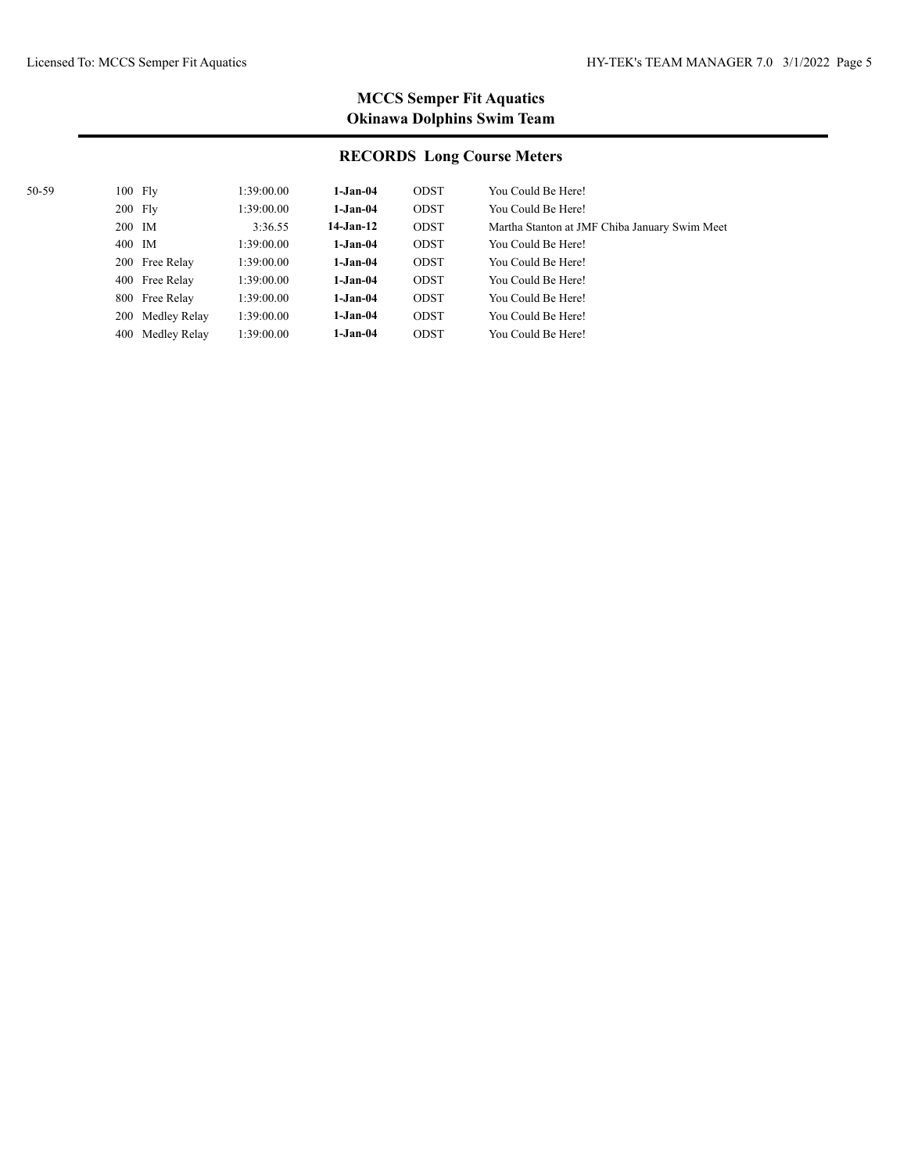| 50-59 | $100$ Fly |                  | 1:39:00.00 | $1-Jan-04$  | ODST        | You Could Be Here!                            |
|-------|-----------|------------------|------------|-------------|-------------|-----------------------------------------------|
|       | $200$ Fly |                  | 1:39:00.00 | $1-Jan-04$  | ODST        | You Could Be Here!                            |
|       | 200 IM    |                  | 3:36.55    | $14-Jan-12$ | <b>ODST</b> | Martha Stanton at JMF Chiba January Swim Meet |
|       | 400 IM    |                  | 1:39:00.00 | $1-Jan-04$  | ODST        | You Could Be Here!                            |
|       |           | 200 Free Relay   | 1:39:00.00 | $1-Jan-04$  | <b>ODST</b> | You Could Be Here!                            |
|       |           | 400 Free Relay   | 1:39:00.00 | $1-Jan-04$  | ODST        | You Could Be Here!                            |
|       |           | 800 Free Relay   | 1:39:00.00 | $1-Jan-04$  | ODST        | You Could Be Here!                            |
|       |           | 200 Medley Relay | 1:39:00.00 | $1-Jan-04$  | <b>ODST</b> | You Could Be Here!                            |
|       |           | 400 Medley Relay | 1:39:00.00 | $1-Jan-04$  | ODST        | You Could Be Here!                            |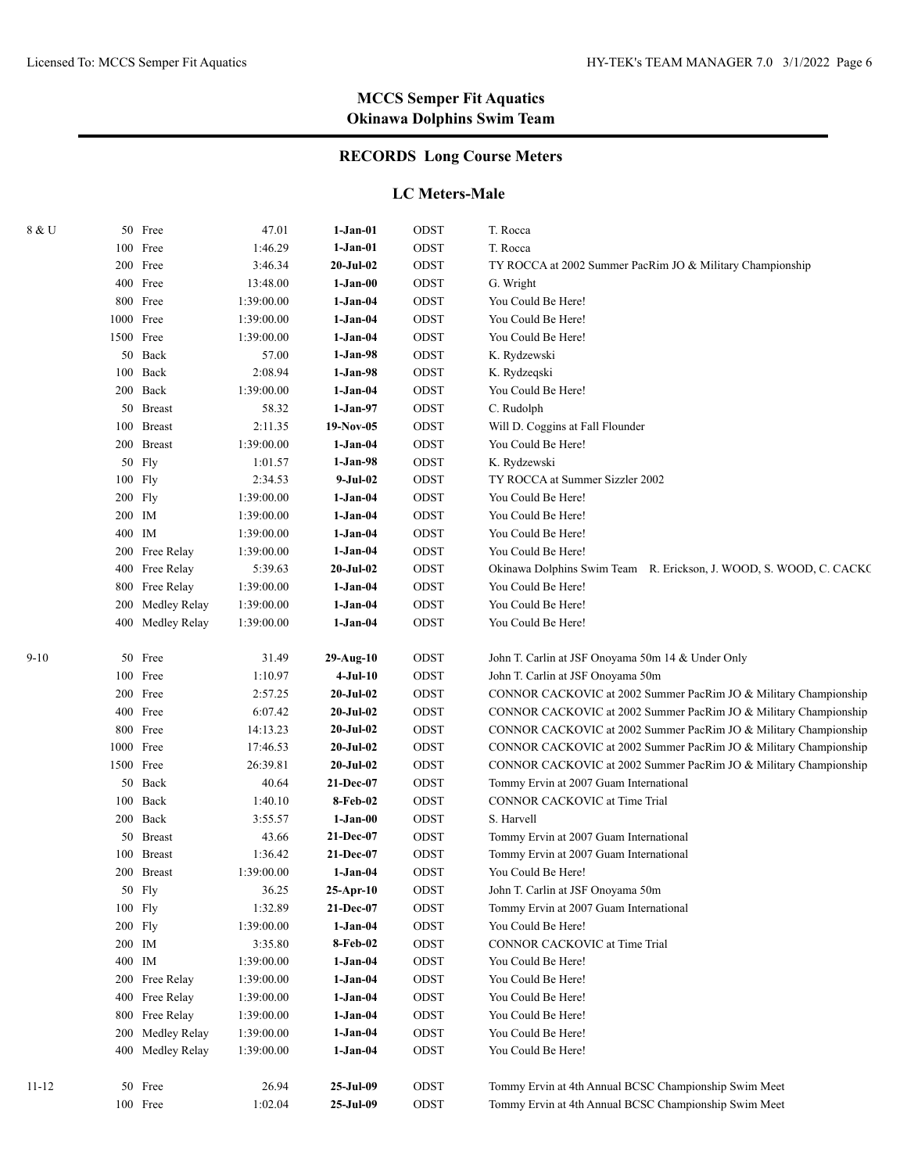## **RECORDS Long Course Meters**

#### **LC Meters-Male**

| 8 & U |        | 50 Free             | 47.01            | $1-Jan-01$             | ODST         | T. Rocca                                                                                                       |
|-------|--------|---------------------|------------------|------------------------|--------------|----------------------------------------------------------------------------------------------------------------|
|       |        | 100 Free            | 1:46.29          | $1-Jan-01$             | ODST         | T. Rocca                                                                                                       |
|       |        | 200 Free            | 3:46.34          | 20-Jul-02              | ODST         | TY ROCCA at 2002 Summer PacRim JO & Military Championship                                                      |
|       |        | 400 Free            | 13:48.00         | $1-Jan-00$             | ODST         | G. Wright                                                                                                      |
|       |        | 800 Free            | 1:39:00.00       | $1-Jan-04$             | ODST         | You Could Be Here!                                                                                             |
|       |        | 1000 Free           | 1:39:00.00       | $1-Jan-04$             | ODST         | You Could Be Here!                                                                                             |
|       |        | 1500 Free           | 1:39:00.00       | $1-Jan-04$             | ODST         | You Could Be Here!                                                                                             |
|       |        | 50 Back             | 57.00            | $1-Jan-98$             | ODST         | K. Rydzewski                                                                                                   |
|       |        | 100 Back            | 2:08.94          | $1-Jan-98$             | ODST         | K. Rydzeqski                                                                                                   |
|       |        | 200 Back            | 1:39:00.00       | $1-Jan-04$             | ODST         | You Could Be Here!                                                                                             |
|       |        | 50 Breast           | 58.32            | $1-Jan-97$             | ODST         | C. Rudolph                                                                                                     |
|       |        | 100 Breast          | 2:11.35          | $19-Nov-05$            | ODST         | Will D. Coggins at Fall Flounder                                                                               |
|       |        | 200 Breast          | 1:39:00.00       | $1-Jan-04$             | ODST         | You Could Be Here!                                                                                             |
|       |        | 50 Fly              | 1:01.57          | $1-Jan-98$             | ODST         | K. Rydzewski                                                                                                   |
|       |        | 100 Fly             | 2:34.53          | $9-Jul-02$             | ODST         | TY ROCCA at Summer Sizzler 2002                                                                                |
|       |        | 200 Fly             | 1:39:00.00       | $1-Jan-04$             | ODST         | You Could Be Here!                                                                                             |
|       | 200 IM |                     | 1:39:00.00       | $1-Jan-04$             | ODST         | You Could Be Here!                                                                                             |
|       | 400 IM |                     | 1:39:00.00       | $1-Jan-04$             | ODST         | You Could Be Here!                                                                                             |
|       |        | 200 Free Relay      | 1:39:00.00       | $1-Jan-04$             | ODST         | You Could Be Here!                                                                                             |
|       |        | 400 Free Relay      | 5:39.63          | 20-Jul-02              | ODST         | Okinawa Dolphins Swim Team R. Erickson, J. WOOD, S. WOOD, C. CACKC                                             |
|       |        | 800 Free Relay      | 1:39:00.00       | $1-Jan-04$             | ODST         | You Could Be Here!                                                                                             |
|       |        | 200 Medley Relay    | 1:39:00.00       | $1-Jan-04$             | ODST         | You Could Be Here!                                                                                             |
|       |        | 400 Medley Relay    | 1:39:00.00       | $1-Jan-04$             | ODST         | You Could Be Here!                                                                                             |
|       |        |                     |                  |                        |              |                                                                                                                |
| 9-10  |        | 50 Free             | 31.49            | 29-Aug-10              | ODST         | John T. Carlin at JSF Onoyama 50m 14 & Under Only                                                              |
|       |        | 100 Free            | 1:10.97          | $4-Jul-10$             | ODST         | John T. Carlin at JSF Onoyama 50m                                                                              |
|       |        | 200 Free            | 2:57.25          | $20 -$ Jul $-02$       | ODST         | CONNOR CACKOVIC at 2002 Summer PacRim JO & Military Championship                                               |
|       |        | 400 Free            | 6:07.42          | 20-Jul-02              | ODST         | CONNOR CACKOVIC at 2002 Summer PacRim JO & Military Championship                                               |
|       |        | 800 Free            | 14:13.23         | 20-Jul-02              | ODST         | CONNOR CACKOVIC at 2002 Summer PacRim JO & Military Championship                                               |
|       |        | 1000 Free           | 17:46.53         | 20-Jul-02              | ODST         | CONNOR CACKOVIC at 2002 Summer PacRim JO & Military Championship                                               |
|       |        | 1500 Free           | 26:39.81         | $20$ -Jul- $02$        | ODST         | CONNOR CACKOVIC at 2002 Summer PacRim JO & Military Championship                                               |
|       |        | 50 Back             | 40.64            | 21-Dec-07              | ODST         | Tommy Ervin at 2007 Guam International                                                                         |
|       |        | 100 Back            | 1:40.10          | 8-Feb-02               | ODST         | CONNOR CACKOVIC at Time Trial                                                                                  |
|       |        | 200 Back            | 3:55.57          | $1-Jan-00$             | ODST         | S. Harvell                                                                                                     |
|       |        | 50 Breast           | 43.66            | 21-Dec-07              | ODST         | Tommy Ervin at 2007 Guam International                                                                         |
|       |        | 100 Breast          | 1:36.42          | 21-Dec-07              | ODST         | Tommy Ervin at 2007 Guam International                                                                         |
|       |        | 200 Breast          | 1:39:00.00       | $1-Jan-04$             | ODST         | You Could Be Here!                                                                                             |
|       |        | 50 Fly              | 36.25            | 25-Apr-10              | ODST         | John T. Carlin at JSF Onoyama 50m                                                                              |
|       |        | 100 Fly             | 1:32.89          | 21-Dec-07              | ODST         | Tommy Ervin at 2007 Guam International                                                                         |
|       |        | 200 Fly             | 1:39:00.00       | $1-Jan-04$             | ODST         | You Could Be Here!                                                                                             |
|       | 200 IM |                     | 3:35.80          | 8-Feb-02               | ODST         | CONNOR CACKOVIC at Time Trial                                                                                  |
|       | 400 IM |                     | 1:39:00.00       | $1-Jan-04$             | ODST         | You Could Be Here!                                                                                             |
|       |        | 200 Free Relay      | 1:39:00.00       | $1-Jan-04$             | ODST         | You Could Be Here!                                                                                             |
|       |        | 400 Free Relay      | 1:39:00.00       | $1-Jan-04$             | ODST         | You Could Be Here!                                                                                             |
|       |        | 800 Free Relay      | 1:39:00.00       | $1-Jan-04$             | ODST         | You Could Be Here!                                                                                             |
|       |        | 200 Medley Relay    | 1:39:00.00       | $1-Jan-04$             | ODST         | You Could Be Here!                                                                                             |
|       |        | 400 Medley Relay    | 1:39:00.00       | $1-Jan-04$             | ODST         | You Could Be Here!                                                                                             |
|       |        |                     |                  |                        |              |                                                                                                                |
| 11-12 |        | 50 Free<br>100 Free | 26.94<br>1:02.04 | 25-Jul-09<br>25-Jul-09 | ODST<br>ODST | Tommy Ervin at 4th Annual BCSC Championship Swim Meet<br>Tommy Ervin at 4th Annual BCSC Championship Swim Meet |
|       |        |                     |                  |                        |              |                                                                                                                |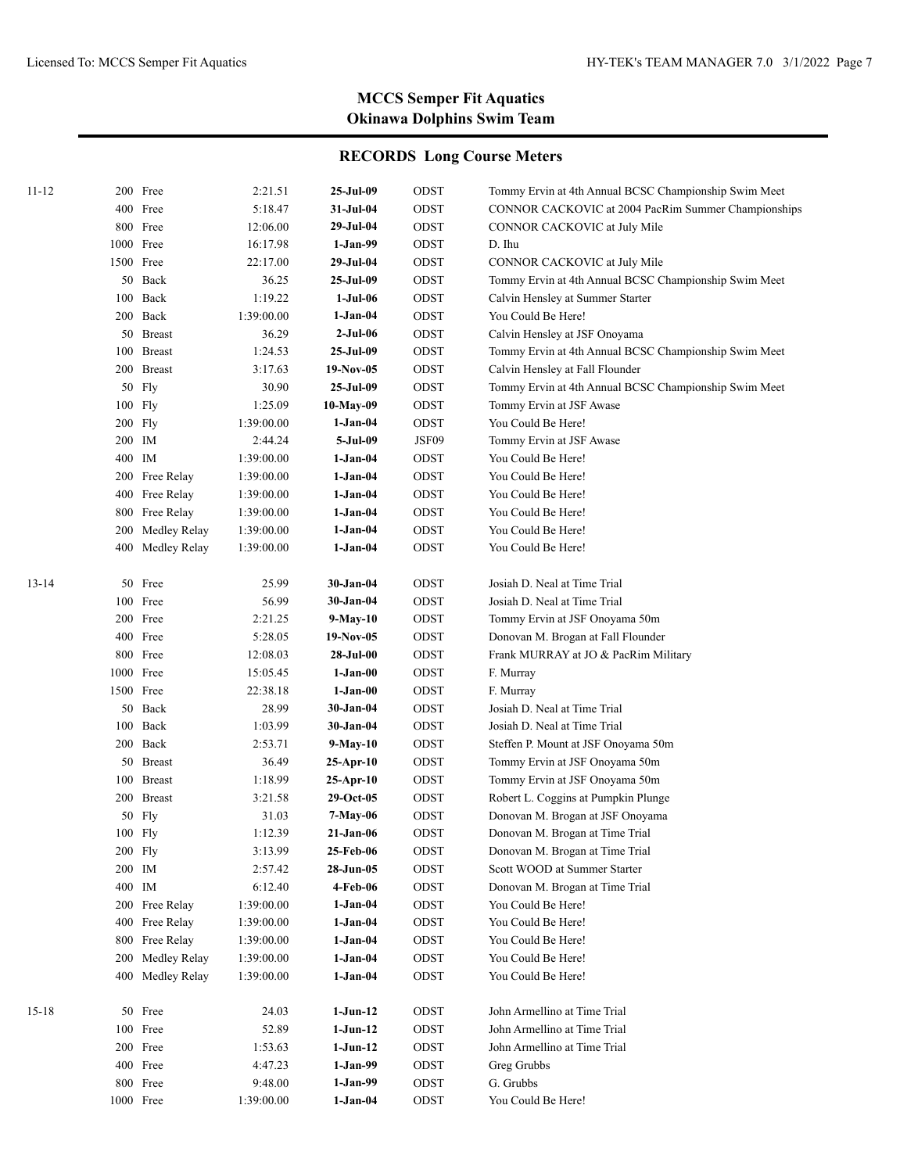| 11-12     |        | 200 Free         | 2:21.51    | 25-Jul-09   | ODST  | Tommy Ervin at 4th Annual BCSC Championship Swim Meet |
|-----------|--------|------------------|------------|-------------|-------|-------------------------------------------------------|
|           |        | 400 Free         | 5:18.47    | 31-Jul-04   | ODST  | CONNOR CACKOVIC at 2004 PacRim Summer Championships   |
|           |        | 800 Free         | 12:06.00   | 29-Jul-04   | ODST  | CONNOR CACKOVIC at July Mile                          |
|           |        | 1000 Free        | 16:17.98   | $1-Jan-99$  | ODST  | D. Ihu                                                |
|           |        | 1500 Free        | 22:17.00   | 29-Jul-04   | ODST  | CONNOR CACKOVIC at July Mile                          |
|           |        | 50 Back          | 36.25      | 25-Jul-09   | ODST  | Tommy Ervin at 4th Annual BCSC Championship Swim Meet |
|           | 100    | Back             | 1:19.22    | 1-Jul-06    | ODST  | Calvin Hensley at Summer Starter                      |
|           |        | 200 Back         | 1:39:00.00 | 1-Jan-04    | ODST  | You Could Be Here!                                    |
|           |        | 50 Breast        | 36.29      | $2-Jul-06$  | ODST  | Calvin Hensley at JSF Onoyama                         |
|           |        | 100 Breast       | 1:24.53    | 25-Jul-09   | ODST  | Tommy Ervin at 4th Annual BCSC Championship Swim Meet |
|           |        | 200 Breast       | 3:17.63    | $19-Nov-05$ | ODST  | Calvin Hensley at Fall Flounder                       |
|           |        | 50 Fly           | 30.90      | 25-Jul-09   | ODST  | Tommy Ervin at 4th Annual BCSC Championship Swim Meet |
|           |        | 100 Fly          | 1:25.09    | 10-May-09   | ODST  | Tommy Ervin at JSF Awase                              |
|           |        | $200$ Fly        | 1:39:00.00 | 1-Jan-04    | ODST  | You Could Be Here!                                    |
|           |        | 200 IM           | 2:44.24    | 5-Jul-09    | JSF09 | Tommy Ervin at JSF Awase                              |
|           |        | 400 IM           | 1:39:00.00 | 1-Jan-04    | ODST  | You Could Be Here!                                    |
|           |        | 200 Free Relay   | 1:39:00.00 | 1-Jan-04    | ODST  | You Could Be Here!                                    |
|           | 400    | Free Relay       | 1:39:00.00 | 1-Jan-04    | ODST  | You Could Be Here!                                    |
|           | 800    | Free Relay       | 1:39:00.00 | 1-Jan-04    | ODST  | You Could Be Here!                                    |
|           | 200    | Medley Relay     | 1:39:00.00 | 1-Jan-04    | ODST  | You Could Be Here!                                    |
|           |        | 400 Medley Relay | 1:39:00.00 | 1-Jan-04    | ODST  | You Could Be Here!                                    |
| 13-14     | 50     | Free             | 25.99      | 30-Jan-04   | ODST  | Josiah D. Neal at Time Trial                          |
|           |        | 100 Free         | 56.99      | 30-Jan-04   | ODST  | Josiah D. Neal at Time Trial                          |
|           |        | 200 Free         | 2:21.25    | 9-May-10    | ODST  | Tommy Ervin at JSF Onoyama 50m                        |
|           |        | 400 Free         | 5:28.05    | 19-Nov-05   | ODST  | Donovan M. Brogan at Fall Flounder                    |
|           |        | 800 Free         | 12:08.03   | 28-Jul-00   | ODST  | Frank MURRAY at JO & PacRim Military                  |
|           |        | 1000 Free        | 15:05.45   | 1-Jan-00    | ODST  | F. Murray                                             |
|           |        | 1500 Free        | 22:38.18   | $1-Jan-00$  | ODST  | F. Murray                                             |
|           |        | 50 Back          | 28.99      | 30-Jan-04   | ODST  | Josiah D. Neal at Time Trial                          |
|           |        | 100 Back         | 1:03.99    | 30-Jan-04   | ODST  | Josiah D. Neal at Time Trial                          |
|           |        | 200 Back         | 2:53.71    | 9-May-10    | ODST  | Steffen P. Mount at JSF Onoyama 50m                   |
|           |        | 50 Breast        | 36.49      | 25-Apr-10   | ODST  | Tommy Ervin at JSF Onoyama 50m                        |
|           |        | 100 Breast       | 1:18.99    | 25-Apr-10   | ODST  | Tommy Ervin at JSF Onoyama 50m                        |
|           |        | 200 Breast       | 3:21.58    | $29-Oct-05$ | ODST  | Robert L. Coggins at Pumpkin Plunge                   |
|           |        | $50$ Fly         | 31.03      | 7-May-06    | ODST  | Donovan M. Brogan at JSF Onoyama                      |
|           |        | 100 Fly          | 1:12.39    | 21-Jan-06   | ODST  | Donovan M. Brogan at Time Trial                       |
|           |        | 200 Fly          | 3:13.99    | 25-Feb-06   | ODST  | Donovan M. Brogan at Time Trial                       |
|           | 200 IM |                  | 2:57.42    | 28-Jun-05   | ODST  | Scott WOOD at Summer Starter                          |
|           | 400 IM |                  | 6:12.40    | 4-Feb-06    | ODST  | Donovan M. Brogan at Time Trial                       |
|           |        | 200 Free Relay   | 1:39:00.00 | $1-Jan-04$  | ODST  | You Could Be Here!                                    |
|           |        | 400 Free Relay   | 1:39:00.00 | $1-Jan-04$  | ODST  | You Could Be Here!                                    |
|           | 800    | Free Relay       | 1:39:00.00 | $1-Jan-04$  | ODST  | You Could Be Here!                                    |
|           | 200    | Medley Relay     | 1:39:00.00 | $1-Jan-04$  | ODST  | You Could Be Here!                                    |
|           |        | 400 Medley Relay | 1:39:00.00 | $1-Jan-04$  | ODST  | You Could Be Here!                                    |
|           |        |                  |            |             |       |                                                       |
| $15 - 18$ |        | 50 Free          | 24.03      | $1-Jun-12$  | ODST  | John Armellino at Time Trial                          |
|           |        | 100 Free         | 52.89      | $1-Jun-12$  | ODST  | John Armellino at Time Trial                          |
|           |        | 200 Free         | 1:53.63    | $1-Jun-12$  | ODST  | John Armellino at Time Trial                          |
|           |        | 400 Free         | 4:47.23    | $1-Jan-99$  | ODST  | Greg Grubbs                                           |
|           |        | 800 Free         | 9:48.00    | $1-Jan-99$  | ODST  | G. Grubbs                                             |
|           |        | 1000 Free        | 1:39:00.00 | $1-Jan-04$  | ODST  | You Could Be Here!                                    |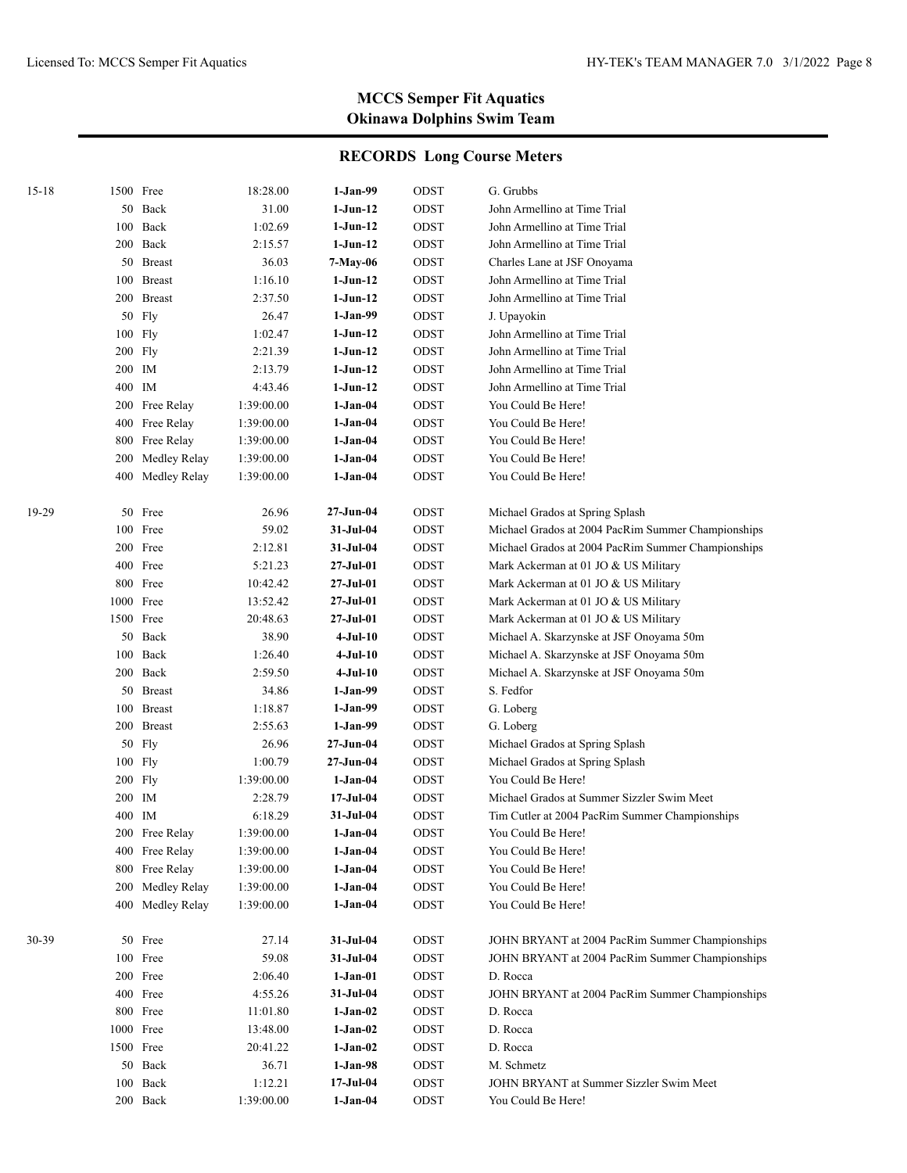| $15 - 18$ |         | 1500 Free        | 18:28.00   | $1-Jan-99$ | ODST | G. Grubbs                                          |
|-----------|---------|------------------|------------|------------|------|----------------------------------------------------|
|           |         | 50 Back          | 31.00      | $1-Jun-12$ | ODST | John Armellino at Time Trial                       |
|           |         | 100 Back         | 1:02.69    | $1-Jun-12$ | ODST | John Armellino at Time Trial                       |
|           |         | 200 Back         | 2:15.57    | $1-Jun-12$ | ODST | John Armellino at Time Trial                       |
|           |         | 50 Breast        | 36.03      | 7-May-06   | ODST | Charles Lane at JSF Onoyama                        |
|           |         | 100 Breast       | 1:16.10    | $1-Jun-12$ | ODST | John Armellino at Time Trial                       |
|           |         | 200 Breast       | 2:37.50    | $1-Jun-12$ | ODST | John Armellino at Time Trial                       |
|           |         | 50 Fly           | 26.47      | $1-Jan-99$ | ODST | J. Upayokin                                        |
|           |         | 100 Fly          | 1:02.47    | 1-Jun-12   | ODST | John Armellino at Time Trial                       |
|           |         | $200$ Fly        | 2:21.39    | $1-Jun-12$ | ODST | John Armellino at Time Trial                       |
|           | 200 IM  |                  | 2:13.79    | $1-Jun-12$ | ODST | John Armellino at Time Trial                       |
|           | 400 IM  |                  | 4:43.46    | $1-Jun-12$ | ODST | John Armellino at Time Trial                       |
|           |         | 200 Free Relay   | 1:39:00.00 | $1-Jan-04$ | ODST | You Could Be Here!                                 |
|           |         | 400 Free Relay   | 1:39:00.00 | $1-Jan-04$ | ODST | You Could Be Here!                                 |
|           |         | 800 Free Relay   | 1:39:00.00 | $1-Jan-04$ | ODST | You Could Be Here!                                 |
|           | 200     | Medley Relay     | 1:39:00.00 | $1-Jan-04$ | ODST | You Could Be Here!                                 |
|           |         | 400 Medley Relay | 1:39:00.00 | 1-Jan-04   | ODST | You Could Be Here!                                 |
|           |         |                  |            |            |      |                                                    |
| 19-29     |         | 50 Free          | 26.96      | 27-Jun-04  | ODST | Michael Grados at Spring Splash                    |
|           |         | 100 Free         | 59.02      | 31-Jul-04  | ODST | Michael Grados at 2004 PacRim Summer Championships |
|           |         | 200 Free         | 2:12.81    | 31-Jul-04  | ODST | Michael Grados at 2004 PacRim Summer Championships |
|           |         | 400 Free         | 5:21.23    | 27-Jul-01  | ODST | Mark Ackerman at 01 JO & US Military               |
|           |         | 800 Free         | 10:42.42   | 27-Jul-01  | ODST | Mark Ackerman at 01 JO & US Military               |
|           |         | 1000 Free        | 13:52.42   | 27-Jul-01  | ODST | Mark Ackerman at 01 JO & US Military               |
|           |         | 1500 Free        | 20:48.63   | 27-Jul-01  | ODST | Mark Ackerman at 01 JO & US Military               |
|           |         | 50 Back          | 38.90      | $4-Jul-10$ | ODST | Michael A. Skarzynske at JSF Onoyama 50m           |
|           |         | 100 Back         | 1:26.40    | $4-Jul-10$ | ODST | Michael A. Skarzynske at JSF Onoyama 50m           |
|           |         | 200 Back         | 2:59.50    | $4-Jul-10$ | ODST | Michael A. Skarzynske at JSF Onoyama 50m           |
|           |         | 50 Breast        | 34.86      | $1-Jan-99$ | ODST | S. Fedfor                                          |
|           |         | 100 Breast       | 1:18.87    | $1-Jan-99$ | ODST | G. Loberg                                          |
|           |         | 200 Breast       | 2:55.63    | $1-Jan-99$ | ODST | G. Loberg                                          |
|           | 50      | Fly              | 26.96      | 27-Jun-04  | ODST | Michael Grados at Spring Splash                    |
|           |         | $100$ Fly        | 1:00.79    | 27-Jun-04  | ODST | Michael Grados at Spring Splash                    |
|           | 200 Fly |                  | 1:39:00.00 | $1-Jan-04$ | ODST | You Could Be Here!                                 |
|           | 200 IM  |                  | 2:28.79    | 17-Jul-04  | ODST | Michael Grados at Summer Sizzler Swim Meet         |
|           | 400     | IM               | 6:18.29    | 31-Jul-04  | ODST | Tim Cutler at 2004 PacRim Summer Championships     |
|           |         | 200 Free Relay   | 1:39:00.00 | 1-Jan-04   | ODST | You Could Be Here!                                 |
|           |         | 400 Free Relay   | 1:39:00.00 | $1-Jan-04$ | ODST | You Could Be Here!                                 |
|           | 800     | Free Relay       | 1:39:00.00 | $1-Jan-04$ | ODST | You Could Be Here!                                 |
|           | 200     | Medley Relay     | 1:39:00.00 | $1-Jan-04$ | ODST | You Could Be Here!                                 |
|           | 400     | Medley Relay     | 1:39:00.00 | $1-Jan-04$ | ODST | You Could Be Here!                                 |
|           |         |                  |            |            |      |                                                    |
| 30-39     |         | 50 Free          | 27.14      | 31-Jul-04  | ODST | JOHN BRYANT at 2004 PacRim Summer Championships    |
|           |         | 100 Free         | 59.08      | 31-Jul-04  | ODST | JOHN BRYANT at 2004 PacRim Summer Championships    |
|           |         | 200 Free         | 2:06.40    | $1-Jan-01$ | ODST | D. Rocca                                           |
|           |         | 400 Free         | 4:55.26    | 31-Jul-04  | ODST | JOHN BRYANT at 2004 PacRim Summer Championships    |
|           |         | 800 Free         | 11:01.80   | $1-Jan-02$ | ODST | D. Rocca                                           |
|           |         | 1000 Free        | 13:48.00   | $1-Jan-02$ | ODST | D. Rocca                                           |
|           |         | 1500 Free        | 20:41.22   | $1-Jan-02$ | ODST | D. Rocca                                           |
|           | 50      | Back             | 36.71      | $1-Jan-98$ | ODST | M. Schmetz                                         |
|           | 100     | Back             | 1:12.21    | 17-Jul-04  | ODST | JOHN BRYANT at Summer Sizzler Swim Meet            |
|           |         | 200 Back         | 1:39:00.00 | $1-Jan-04$ | ODST | You Could Be Here!                                 |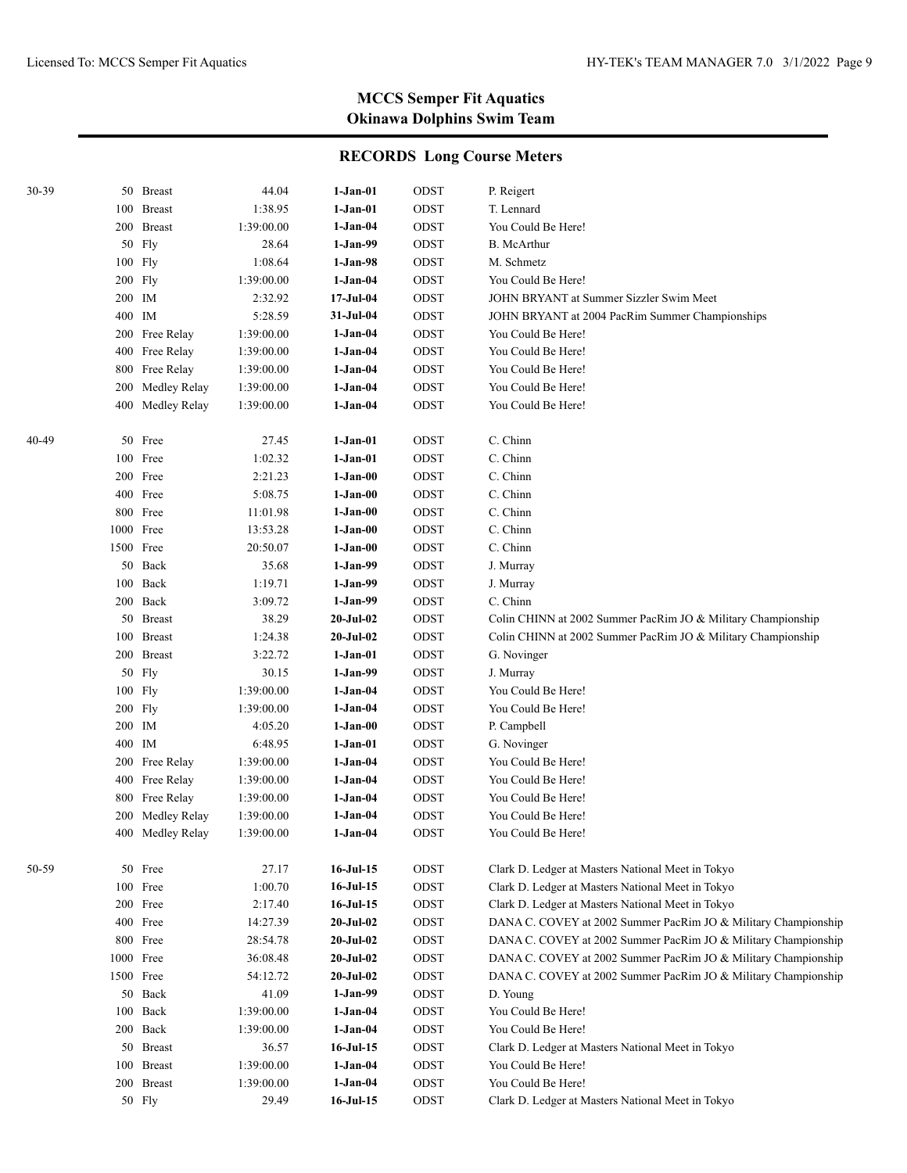| 30-39 |        | 50 Breast        | 44.04      | 1-Jan-01         | ODST | P. Reigert                                                     |
|-------|--------|------------------|------------|------------------|------|----------------------------------------------------------------|
|       |        | 100 Breast       | 1:38.95    | $1-Jan-01$       | ODST | T. Lennard                                                     |
|       |        | 200 Breast       | 1:39:00.00 | 1-Jan-04         | ODST | You Could Be Here!                                             |
|       | 50     | Fly              | 28.64      | 1-Jan-99         | ODST | <b>B.</b> McArthur                                             |
|       |        | $100$ Fly        | 1:08.64    | $1-Jan-98$       | ODST | M. Schmetz                                                     |
|       |        | $200$ Fly        | 1:39:00.00 | $1-Jan-04$       | ODST | You Could Be Here!                                             |
|       | 200 IM |                  | 2:32.92    | $17 -$ Jul $-04$ | ODST | JOHN BRYANT at Summer Sizzler Swim Meet                        |
|       | 400 IM |                  | 5:28.59    | 31-Jul-04        | ODST | JOHN BRYANT at 2004 PacRim Summer Championships                |
|       | 200    | Free Relay       | 1:39:00.00 | $1-Jan-04$       | ODST | You Could Be Here!                                             |
|       | 400    | Free Relay       | 1:39:00.00 | $1-Jan-04$       | ODST | You Could Be Here!                                             |
|       | 800    | Free Relay       | 1:39:00.00 | $1-Jan-04$       | ODST | You Could Be Here!                                             |
|       | 200    | Medley Relay     | 1:39:00.00 | $1-Jan-04$       | ODST | You Could Be Here!                                             |
|       | 400    | Medley Relay     | 1:39:00.00 | 1-Jan-04         | ODST | You Could Be Here!                                             |
| 40-49 | 50     | Free             | 27.45      | 1-Jan-01         | ODST | C. Chinn                                                       |
|       | 100    | Free             | 1:02.32    | 1-Jan-01         | ODST | C. Chinn                                                       |
|       | 200    | Free             | 2:21.23    | 1-Jan-00         | ODST | C. Chinn                                                       |
|       | 400    | Free             | 5:08.75    | 1-Jan-00         | ODST | C. Chinn                                                       |
|       | 800    | Free             | 11:01.98   | 1-Jan-00         | ODST | C. Chinn                                                       |
|       | 1000   | Free             | 13:53.28   | 1-Jan-00         | ODST | C. Chinn                                                       |
|       |        | 1500 Free        | 20:50.07   | 1-Jan-00         | ODST | C. Chinn                                                       |
|       | 50     | Back             | 35.68      | 1-Jan-99         | ODST | J. Murray                                                      |
|       | 100    | Back             | 1:19.71    | $1-Jan-99$       | ODST | J. Murray                                                      |
|       |        | 200 Back         | 3:09.72    | $1-Jan-99$       | ODST | C. Chinn                                                       |
|       | 50     | <b>Breast</b>    | 38.29      | $20 - Jul - 02$  | ODST | Colin CHINN at 2002 Summer PacRim JO & Military Championship   |
|       | 100    | <b>Breast</b>    | 1:24.38    | $20 -$ Jul $-02$ | ODST | Colin CHINN at 2002 Summer PacRim JO & Military Championship   |
|       | 200    | <b>Breast</b>    | 3:22.72    | 1-Jan-01         | ODST | G. Novinger                                                    |
|       | 50     | Fly              | 30.15      | $1-Jan-99$       | ODST | J. Murray                                                      |
|       | 100    | Fly              | 1:39:00.00 | 1-Jan-04         | ODST | You Could Be Here!                                             |
|       |        | 200 Fly          | 1:39:00.00 | $1-Jan-04$       | ODST | You Could Be Here!                                             |
|       | 200 IM |                  | 4:05.20    | $1-Jan-00$       | ODST | P. Campbell                                                    |
|       | 400    | IM               | 6:48.95    | $1-Jan-01$       | ODST | G. Novinger                                                    |
|       | 200    | Free Relay       | 1:39:00.00 | $1-Jan-04$       | ODST | You Could Be Here!                                             |
|       | 400    | Free Relay       | 1:39:00.00 | $1-Jan-04$       | ODST | You Could Be Here!                                             |
|       | 800    | Free Relay       | 1:39:00.00 | $1-Jan-04$       | ODST | You Could Be Here!                                             |
|       | 200    | Medley Relay     | 1:39:00.00 | 1-Jan-04         | ODST | You Could Be Here!                                             |
|       |        | 400 Medley Relay | 1:39:00.00 | 1-Jan-04         | ODST | You Could Be Here!                                             |
| 50-59 |        | 50 Free          | 27.17      | $16-Jul-15$      | ODST | Clark D. Ledger at Masters National Meet in Tokyo              |
|       |        | 100 Free         | 1:00.70    | $16$ -Jul- $15$  | ODST | Clark D. Ledger at Masters National Meet in Tokyo              |
|       |        | 200 Free         | 2:17.40    | $16$ -Jul- $15$  | ODST | Clark D. Ledger at Masters National Meet in Tokyo              |
|       |        | 400 Free         | 14:27.39   | $20 -$ Jul $-02$ | ODST | DANA C. COVEY at 2002 Summer PacRim JO & Military Championship |
|       |        | 800 Free         | 28:54.78   | $20 -$ Jul $-02$ | ODST | DANA C. COVEY at 2002 Summer PacRim JO & Military Championship |
|       |        | 1000 Free        | 36:08.48   | $20 -$ Jul $-02$ | ODST | DANA C. COVEY at 2002 Summer PacRim JO & Military Championship |
|       |        | 1500 Free        | 54:12.72   | $20-Jul-02$      | ODST | DANA C. COVEY at 2002 Summer PacRim JO & Military Championship |
|       |        | 50 Back          | 41.09      | $1-Jan-99$       | ODST | D. Young                                                       |
|       | 100    | Back             | 1:39:00.00 | $1-Jan-04$       | ODST | You Could Be Here!                                             |
|       |        | 200 Back         | 1:39:00.00 | $1-Jan-04$       | ODST | You Could Be Here!                                             |
|       |        | 50 Breast        | 36.57      | $16-Jul-15$      | ODST | Clark D. Ledger at Masters National Meet in Tokyo              |
|       |        | 100 Breast       | 1:39:00.00 | $1-Jan-04$       | ODST | You Could Be Here!                                             |
|       |        | 200 Breast       | 1:39:00.00 | $1-Jan-04$       | ODST | You Could Be Here!                                             |
|       |        | 50 Fly           | 29.49      | $16-Jul-15$      | ODST | Clark D. Ledger at Masters National Meet in Tokyo              |